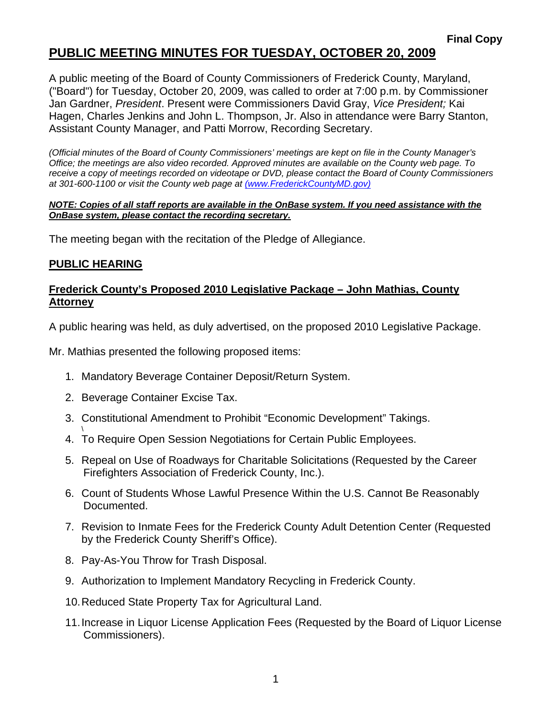## **PUBLIC MEETING MINUTES FOR TUESDAY, OCTOBER 20, 2009**

A public meeting of the Board of County Commissioners of Frederick County, Maryland, ("Board") for Tuesday, October 20, 2009, was called to order at 7:00 p.m. by Commissioner Jan Gardner, *President*. Present were Commissioners David Gray, *Vice President;* Kai Hagen, Charles Jenkins and John L. Thompson, Jr. Also in attendance were Barry Stanton, Assistant County Manager, and Patti Morrow, Recording Secretary.

*(Official minutes of the Board of County Commissioners' meetings are kept on file in the County Manager's Office; the meetings are also video recorded. Approved minutes are available on the County web page. To receive a copy of meetings recorded on videotape or DVD, please contact the Board of County Commissioners at 301-600-1100 or visit the County web page at (www.FrederickCountyMD.gov)*

#### *NOTE: Copies of all staff reports are available in the OnBase system. If you need assistance with the OnBase system, please contact the recording secretary.*

The meeting began with the recitation of the Pledge of Allegiance.

#### **PUBLIC HEARING**

\

#### **Frederick County's Proposed 2010 Legislative Package – John Mathias, County Attorney**

A public hearing was held, as duly advertised, on the proposed 2010 Legislative Package.

Mr. Mathias presented the following proposed items:

- 1. Mandatory Beverage Container Deposit/Return System.
- 2. Beverage Container Excise Tax.
- 3. Constitutional Amendment to Prohibit "Economic Development" Takings.
- 4. To Require Open Session Negotiations for Certain Public Employees.
- 5. Repeal on Use of Roadways for Charitable Solicitations (Requested by the Career Firefighters Association of Frederick County, Inc.).
- 6. Count of Students Whose Lawful Presence Within the U.S. Cannot Be Reasonably Documented.
- 7. Revision to Inmate Fees for the Frederick County Adult Detention Center (Requested by the Frederick County Sheriff's Office).
- 8. Pay-As-You Throw for Trash Disposal.
- 9. Authorization to Implement Mandatory Recycling in Frederick County.
- 10. Reduced State Property Tax for Agricultural Land.
- 11. Increase in Liquor License Application Fees (Requested by the Board of Liquor License Commissioners).